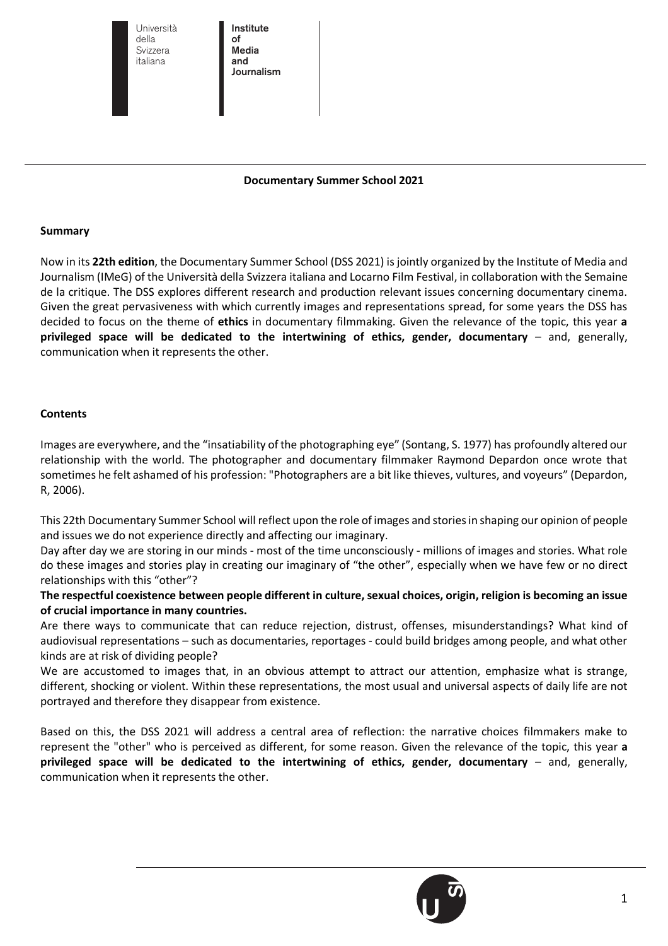Università Università della della Svizzera Svizzera italiana italiana

Institute Institute of of Media Media and and Journalism Journalism

#### **Documentary Summer School 2021**

#### **Summary**

Now in its **22th edition**, the Documentary Summer School (DSS 2021) is jointly organized by the Institute of Media and Journalism (IMeG) of the Università della Svizzera italiana and Locarno Film Festival, in collaboration with the Semaine de la critique. The DSS explores different research and production relevant issues concerning documentary cinema. Given the great pervasiveness with which currently images and representations spread, for some years the DSS has decided to focus on the theme of **ethics** in documentary filmmaking. Given the relevance of the topic, this year **a privileged space will be dedicated to the intertwining of ethics, gender, documentary** – and, generally, communication when it represents the other.

#### **Contents**

Images are everywhere, and the "insatiability of the photographing eye" (Sontang, S. 1977) has profoundly altered our relationship with the world. The photographer and documentary filmmaker Raymond Depardon once wrote that sometimes he felt ashamed of his profession: "Photographers are a bit like thieves, vultures, and voyeurs" (Depardon, R, 2006).

This 22th Documentary Summer School will reflect upon the role of images and stories in shaping our opinion of people and issues we do not experience directly and affecting our imaginary.

Day after day we are storing in our minds - most of the time unconsciously - millions of images and stories. What role do these images and stories play in creating our imaginary of "the other", especially when we have few or no direct relationships with this "other"?

**The respectful coexistence between people different in culture, sexual choices, origin, religion is becoming an issue of crucial importance in many countries.**

Are there ways to communicate that can reduce rejection, distrust, offenses, misunderstandings? What kind of audiovisual representations – such as documentaries, reportages - could build bridges among people, and what other kinds are at risk of dividing people?

We are accustomed to images that, in an obvious attempt to attract our attention, emphasize what is strange, different, shocking or violent. Within these representations, the most usual and universal aspects of daily life are not portrayed and therefore they disappear from existence.

Based on this, the DSS 2021 will address a central area of reflection: the narrative choices filmmakers make to represent the "other" who is perceived as different, for some reason. Given the relevance of the topic, this year **a privileged space will be dedicated to the intertwining of ethics, gender, documentary** – and, generally, communication when it represents the other.

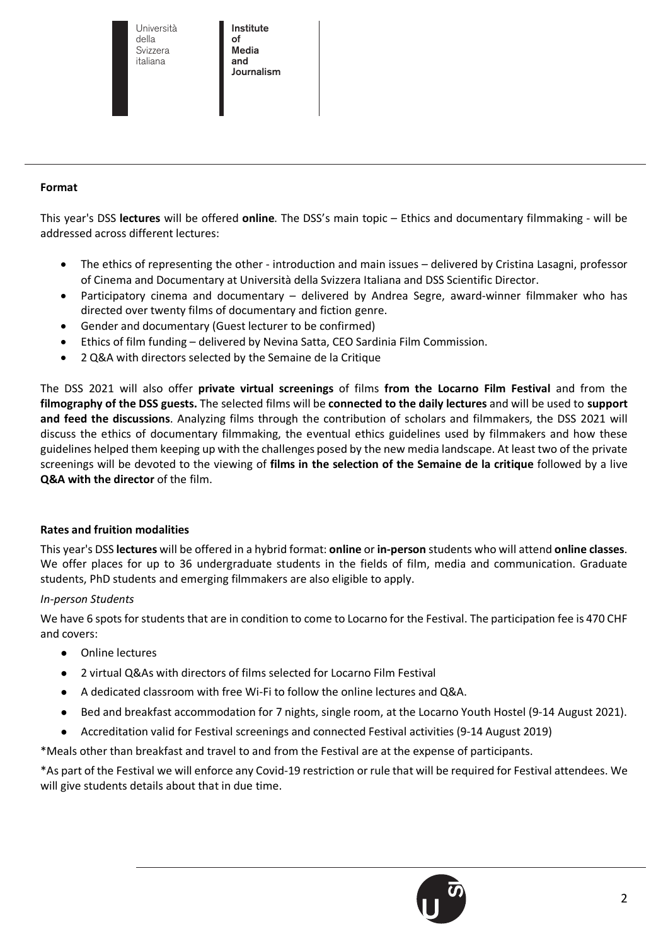Università Università della della Svizzera Svizzera italiana italiana

Institute Institute of of Media Media and and Journalism Journalism

### **Format**

This year's DSS **lectures** will be offered **online**. The DSS's main topic – Ethics and documentary filmmaking - will be addressed across different lectures:

- The ethics of representing the other introduction and main issues delivered by Cristina Lasagni, professor of Cinema and Documentary at Università della Svizzera Italiana and DSS Scientific Director.
- Participatory cinema and documentary delivered by Andrea Segre, award-winner filmmaker who has directed over twenty films of documentary and fiction genre.
- Gender and documentary (Guest lecturer to be confirmed)
- Ethics of film funding delivered by Nevina Satta, CEO Sardinia Film Commission.
- 2 Q&A with directors selected by the Semaine de la Critique

The DSS 2021 will also offer **private virtual screenings** of films **from the Locarno Film Festival** and from the **filmography of the DSS guests.** The selected films will be **connected to the daily lectures** and will be used to **support and feed the discussions**. Analyzing films through the contribution of scholars and filmmakers, the DSS 2021 will discuss the ethics of documentary filmmaking, the eventual ethics guidelines used by filmmakers and how these guidelines helped them keeping up with the challenges posed by the new media landscape. At least two of the private screenings will be devoted to the viewing of **films in the selection of the Semaine de la critique** followed by a live **Q&A with the director** of the film.

#### **Rates and fruition modalities**

This year's DSS **lectures** will be offered in a hybrid format: **online** or **in-person** students who will attend **online classes**. We offer places for up to 36 undergraduate students in the fields of film, media and communication. Graduate students, PhD students and emerging filmmakers are also eligible to apply.

#### *In-person Students*

We have 6 spots for students that are in condition to come to Locarno for the Festival. The participation fee is 470 CHF and covers:

- Online lectures
- 2 virtual Q&As with directors of films selected for Locarno Film Festival
- A dedicated classroom with free Wi-Fi to follow the online lectures and Q&A.
- Bed and breakfast accommodation for 7 nights, single room, at the Locarno Youth Hostel (9-14 August 2021).
- Accreditation valid for Festival screenings and connected Festival activities (9-14 August 2019)

\*Meals other than breakfast and travel to and from the Festival are at the expense of participants.

\*As part of the Festival we will enforce any Covid-19 restriction or rule that will be required for Festival attendees. We will give students details about that in due time.